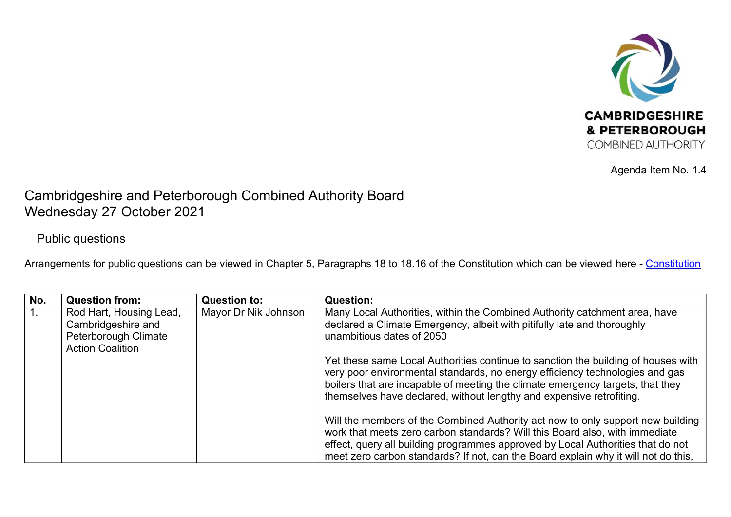

Agenda Item No. 1.4

## Cambridgeshire and Peterborough Combined Authority Board Wednesday 27 October 2021

## Public questions

Arrangements for public questions can be viewed in Chapter 5, Paragraphs 18 to 18.16 of the [Constitution](https://cambridgeshirepeterborough-ca.gov.uk/wp-content/uploads/documents/key-documents/constitution/Cambs-Pboro-CA-Constitution-1.pdf) which can be viewed here - Constitution

| No. | <b>Question from:</b>   | <b>Question to:</b>  | <b>Question:</b>                                                                                                                                                                                                                                                                                                            |
|-----|-------------------------|----------------------|-----------------------------------------------------------------------------------------------------------------------------------------------------------------------------------------------------------------------------------------------------------------------------------------------------------------------------|
|     | Rod Hart, Housing Lead, | Mayor Dr Nik Johnson | Many Local Authorities, within the Combined Authority catchment area, have                                                                                                                                                                                                                                                  |
|     | Cambridgeshire and      |                      | declared a Climate Emergency, albeit with pitifully late and thoroughly                                                                                                                                                                                                                                                     |
|     | Peterborough Climate    |                      | unambitious dates of 2050                                                                                                                                                                                                                                                                                                   |
|     | <b>Action Coalition</b> |                      |                                                                                                                                                                                                                                                                                                                             |
|     |                         |                      | Yet these same Local Authorities continue to sanction the building of houses with<br>very poor environmental standards, no energy efficiency technologies and gas<br>boilers that are incapable of meeting the climate emergency targets, that they<br>themselves have declared, without lengthy and expensive retrofiting. |
|     |                         |                      | Will the members of the Combined Authority act now to only support new building<br>work that meets zero carbon standards? Will this Board also, with immediate                                                                                                                                                              |
|     |                         |                      | effect, query all building programmes approved by Local Authorities that do not<br>meet zero carbon standards? If not, can the Board explain why it will not do this,                                                                                                                                                       |